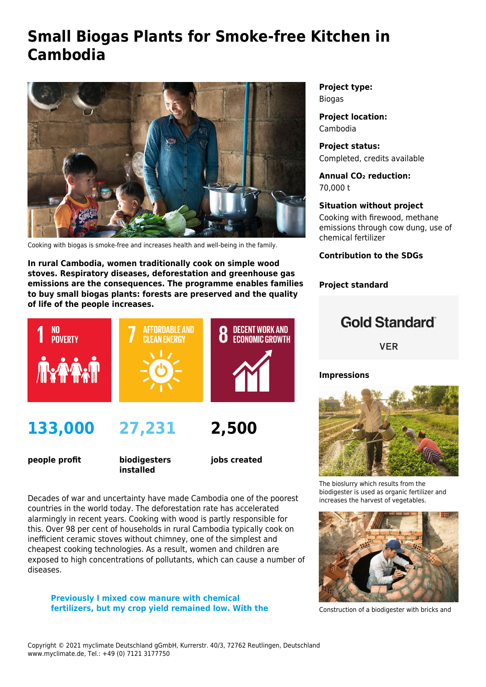# **Small Biogas Plants for Smoke-free Kitchen in Cambodia**



Cooking with biogas is smoke-free and increases health and well-being in the family.

**In rural Cambodia, women traditionally cook on simple wood stoves. Respiratory diseases, deforestation and greenhouse gas emissions are the consequences. The programme enables families to buy small biogas plants: forests are preserved and the quality of life of the people increases.**



**people profit**

**biodigesters installed**

**jobs created**

Decades of war and uncertainty have made Cambodia one of the poorest countries in the world today. The deforestation rate has accelerated alarmingly in recent years. Cooking with wood is partly responsible for this. Over 98 per cent of households in rural Cambodia typically cook on inefficient ceramic stoves without chimney, one of the simplest and cheapest cooking technologies. As a result, women and children are exposed to high concentrations of pollutants, which can cause a number of diseases.

**Previously I mixed cow manure with chemical fertilizers, but my crop yield remained low. With the** **Project type:** Biogas

**Project location:** Cambodia

**Project status:** Completed, credits available

**Annual CO₂ reduction:** 70,000 t

### **Situation without project**

Cooking with firewood, methane emissions through cow dung, use of chemical fertilizer

**Contribution to the SDGs**

### **Project standard**

## **Gold Standard**

**VER** 

### **Impressions**



The bioslurry which results from the biodigester is used as organic fertilizer and increases the harvest of vegetables.



Construction of a biodigester with bricks and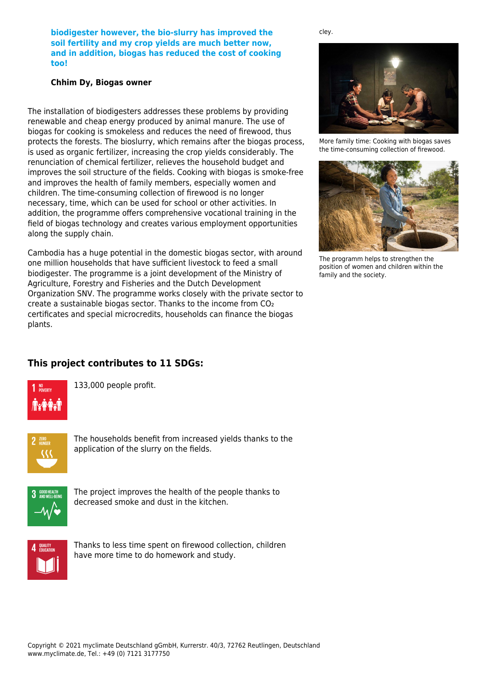**biodigester however, the bio-slurry has improved the soil fertility and my crop yields are much better now, and in addition, biogas has reduced the cost of cooking too!**

### **Chhim Dy, Biogas owner**

The installation of biodigesters addresses these problems by providing renewable and cheap energy produced by animal manure. The use of biogas for cooking is smokeless and reduces the need of firewood, thus protects the forests. The bioslurry, which remains after the biogas process, is used as organic fertilizer, increasing the crop yields considerably. The renunciation of chemical fertilizer, relieves the household budget and improves the soil structure of the fields. Cooking with biogas is smoke-free and improves the health of family members, especially women and children. The time-consuming collection of firewood is no longer necessary, time, which can be used for school or other activities. In addition, the programme offers comprehensive vocational training in the field of biogas technology and creates various employment opportunities along the supply chain.

Cambodia has a huge potential in the domestic biogas sector, with around one million households that have sufficient livestock to feed a small biodigester. The programme is a joint development of the Ministry of Agriculture, Forestry and Fisheries and the Dutch Development Organization SNV. The programme works closely with the private sector to create a sustainable biogas sector. Thanks to the income from CO₂ certificates and special microcredits, households can finance the biogas plants.



cley.

More family time: Cooking with biogas saves the time-consuming collection of firewood.



The programm helps to strengthen the position of women and children within the family and the society.

### **This project contributes to 11 SDGs:**



133,000 people profit.



The households benefit from increased yields thanks to the application of the slurry on the fields.



The project improves the health of the people thanks to decreased smoke and dust in the kitchen.



Thanks to less time spent on firewood collection, children have more time to do homework and study.